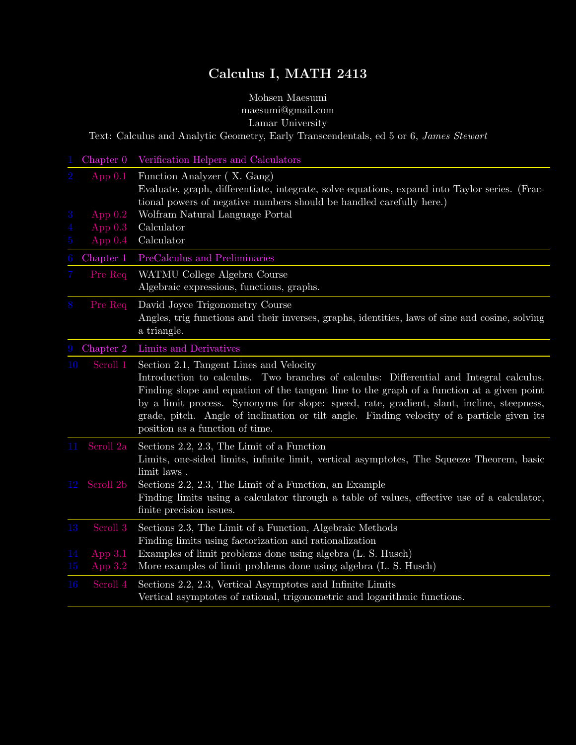# Calculus I, MATH 2413

### Mohsen Maesumi maesumi@gmail.com Lamar University

<span id="page-0-0"></span>Text: Calculus and Analytic Geometry, Early Transcendentals, ed 5 or 6, James Stewart

|                                            |                                                  | Chapter 0 Verification Helpers and Calculators                                                                                                                                                                                                                                                                                                                                                                                                                 |
|--------------------------------------------|--------------------------------------------------|----------------------------------------------------------------------------------------------------------------------------------------------------------------------------------------------------------------------------------------------------------------------------------------------------------------------------------------------------------------------------------------------------------------------------------------------------------------|
| $\overline{2}$<br>3<br>4<br>$\overline{5}$ | App $0.1$<br>App $0.2$<br>App $0.3$<br>App $0.4$ | Function Analyzer (X. Gang)<br>Evaluate, graph, differentiate, integrate, solve equations, expand into Taylor series. (Frac-<br>tional powers of negative numbers should be handled carefully here.)<br>Wolfram Natural Language Portal<br>Calculator<br>Calculator                                                                                                                                                                                            |
| 6                                          | Chapter 1                                        | PreCalculus and Preliminaries                                                                                                                                                                                                                                                                                                                                                                                                                                  |
| 7                                          | Pre Req                                          | WATMU College Algebra Course<br>Algebraic expressions, functions, graphs.                                                                                                                                                                                                                                                                                                                                                                                      |
| 8                                          | Pre Req                                          | David Joyce Trigonometry Course<br>Angles, trig functions and their inverses, graphs, identities, laws of sine and cosine, solving<br>a triangle.                                                                                                                                                                                                                                                                                                              |
| 9                                          | Chapter 2                                        | Limits and Derivatives                                                                                                                                                                                                                                                                                                                                                                                                                                         |
| 10                                         | Scroll 1                                         | Section 2.1, Tangent Lines and Velocity<br>Introduction to calculus. Two branches of calculus: Differential and Integral calculus.<br>Finding slope and equation of the tangent line to the graph of a function at a given point<br>by a limit process. Synonyms for slope: speed, rate, gradient, slant, incline, steepness,<br>grade, pitch. Angle of inclination or tilt angle. Finding velocity of a particle given its<br>position as a function of time. |
| 11                                         | Scroll 2a                                        | Sections $2.2$ , $2.3$ , The Limit of a Function<br>Limits, one-sided limits, infinite limit, vertical asymptotes, The Squeeze Theorem, basic<br>limit laws.                                                                                                                                                                                                                                                                                                   |
|                                            | 12 Scroll 2b                                     | Sections 2.2, 2.3, The Limit of a Function, an Example<br>Finding limits using a calculator through a table of values, effective use of a calculator,<br>finite precision issues.                                                                                                                                                                                                                                                                              |
| 13<br>14                                   | Scroll 3<br>App $3.1$                            | Sections 2.3, The Limit of a Function, Algebraic Methods<br>Finding limits using factorization and rationalization<br>Examples of limit problems done using algebra (L. S. Husch)                                                                                                                                                                                                                                                                              |
| 15                                         | App $3.2$                                        | More examples of limit problems done using algebra (L. S. Husch)                                                                                                                                                                                                                                                                                                                                                                                               |
| 16                                         | Scroll 4                                         | Sections 2.2, 2.3, Vertical Asymptotes and Infinite Limits<br>Vertical asymptotes of rational, trigonometric and logarithmic functions.                                                                                                                                                                                                                                                                                                                        |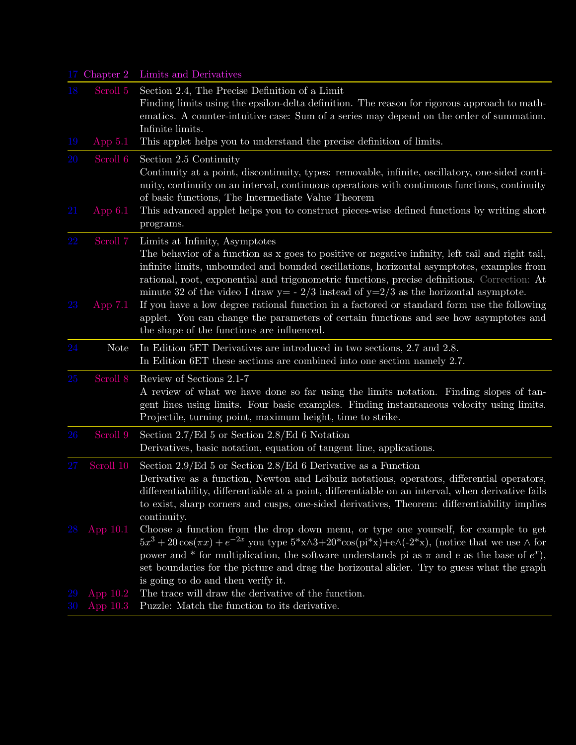|          |                       | 17 Chapter 2 Limits and Derivatives                                                                                                                                                                                                                                                                                                                                                                                                                                                                                                                                                                                                                               |
|----------|-----------------------|-------------------------------------------------------------------------------------------------------------------------------------------------------------------------------------------------------------------------------------------------------------------------------------------------------------------------------------------------------------------------------------------------------------------------------------------------------------------------------------------------------------------------------------------------------------------------------------------------------------------------------------------------------------------|
| 18<br>19 | Scroll 5<br>App $5.1$ | Section 2.4, The Precise Definition of a Limit<br>Finding limits using the epsilon-delta definition. The reason for rigorous approach to math-<br>ematics. A counter-intuitive case: Sum of a series may depend on the order of summation.<br>Infinite limits.<br>This applet helps you to understand the precise definition of limits.                                                                                                                                                                                                                                                                                                                           |
|          |                       |                                                                                                                                                                                                                                                                                                                                                                                                                                                                                                                                                                                                                                                                   |
| 20<br>21 | Scroll 6<br>App $6.1$ | Section 2.5 Continuity<br>Continuity at a point, discontinuity, types: removable, infinite, oscillatory, one-sided conti-<br>nuity, continuity on an interval, continuous operations with continuous functions, continuity<br>of basic functions, The Intermediate Value Theorem<br>This advanced applet helps you to construct pieces-wise defined functions by writing short<br>programs.                                                                                                                                                                                                                                                                       |
| 22<br>23 | Scroll 7<br>App $7.1$ | Limits at Infinity, Asymptotes<br>The behavior of a function as x goes to positive or negative infinity, left tail and right tail,<br>infinite limits, unbounded and bounded oscillations, horizontal asymptotes, examples from<br>rational, root, exponential and trigonometric functions, precise definitions. Correction: At<br>minute 32 of the video I draw $y = -2/3$ instead of $y=2/3$ as the horizontal asymptote.<br>If you have a low degree rational function in a factored or standard form use the following<br>applet. You can change the parameters of certain functions and see how asymptotes and<br>the shape of the functions are influenced. |
| 24       | <b>Note</b>           | In Edition 5ET Derivatives are introduced in two sections, 2.7 and 2.8.<br>In Edition 6ET these sections are combined into one section namely 2.7.                                                                                                                                                                                                                                                                                                                                                                                                                                                                                                                |
| 25       | Scroll 8              | Review of Sections 2.1-7<br>A review of what we have done so far using the limits notation. Finding slopes of tan-<br>gent lines using limits. Four basic examples. Finding instantaneous velocity using limits.<br>Projectile, turning point, maximum height, time to strike.                                                                                                                                                                                                                                                                                                                                                                                    |
| 26       | Scroll 9              | Section $2.7$ /Ed 5 or Section $2.8$ /Ed 6 Notation<br>Derivatives, basic notation, equation of tangent line, applications.                                                                                                                                                                                                                                                                                                                                                                                                                                                                                                                                       |
| 27       | Scroll 10             | Section 2.9/Ed 5 or Section 2.8/Ed 6 Derivative as a Function<br>Derivative as a function, Newton and Leibniz notations, operators, differential operators,<br>differentiability, differentiable at a point, differentiable on an interval, when derivative fails<br>to exist, sharp corners and cusps, one-sided derivatives, Theorem: differentiability implies<br>continuity.                                                                                                                                                                                                                                                                                  |
|          | 28 App 10.1           | Choose a function from the drop down menu, or type one yourself, for example to get<br>$5x^3 + 20\cos(\pi x) + e^{-2x}$ you type $5*x \wedge 3+20* \cos(\pi x) + e \wedge (-2*x)$ , (notice that we use $\wedge$ for<br>power and * for multiplication, the software understands pi as $\pi$ and e as the base of $e^x$ ),<br>set boundaries for the picture and drag the horizontal slider. Try to guess what the graph<br>is going to do and then verify it.                                                                                                                                                                                                    |
| 29       | App $10.2$            | The trace will draw the derivative of the function.                                                                                                                                                                                                                                                                                                                                                                                                                                                                                                                                                                                                               |
|          |                       | Puzzle: Match the function to its derivative.                                                                                                                                                                                                                                                                                                                                                                                                                                                                                                                                                                                                                     |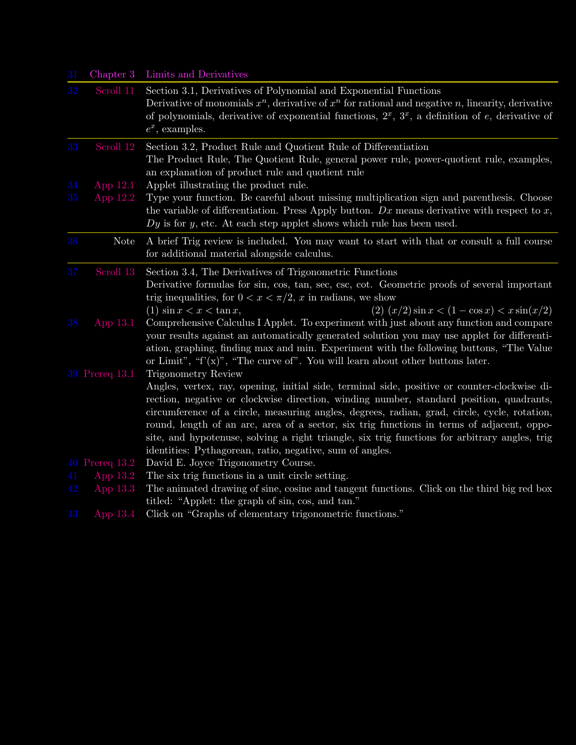| 31 |                            | Chapter 3 Limits and Derivatives                                                                                                                                                                                                                                                                                                                                                                                                                                                                                                                  |
|----|----------------------------|---------------------------------------------------------------------------------------------------------------------------------------------------------------------------------------------------------------------------------------------------------------------------------------------------------------------------------------------------------------------------------------------------------------------------------------------------------------------------------------------------------------------------------------------------|
| 32 | Scroll 11                  | Section 3.1, Derivatives of Polynomial and Exponential Functions<br>Derivative of monomials $x^n$ , derivative of $x^n$ for rational and negative n, linearity, derivative<br>of polynomials, derivative of exponential functions, $2^x$ , $3^x$ , a definition of e, derivative of<br>$e^x$ , examples.                                                                                                                                                                                                                                          |
| 33 | Scroll 12                  | Section 3.2, Product Rule and Quotient Rule of Differentiation<br>The Product Rule, The Quotient Rule, general power rule, power-quotient rule, examples,<br>an explanation of product rule and quotient rule                                                                                                                                                                                                                                                                                                                                     |
| 34 | App $12.1$                 | Applet illustrating the product rule.                                                                                                                                                                                                                                                                                                                                                                                                                                                                                                             |
| 35 | App $12.2$                 | Type your function. Be careful about missing multiplication sign and parenthesis. Choose<br>the variable of differentiation. Press Apply button. $Dx$ means derivative with respect to x,<br>$Dy$ is for y, etc. At each step applet shows which rule has been used.                                                                                                                                                                                                                                                                              |
| 36 | <b>Note</b>                | A brief Trig review is included. You may want to start with that or consult a full course<br>for additional material alongside calculus.                                                                                                                                                                                                                                                                                                                                                                                                          |
| 37 | Scroll 13                  | Section 3.4, The Derivatives of Trigonometric Functions<br>Derivative formulas for sin, cos, tan, sec, csc, cot. Geometric proofs of several important<br>trig inequalities, for $0 < x < \pi/2$ , x in radians, we show<br>(2) $(x/2) \sin x < (1 - \cos x) < x \sin(x/2)$<br>(1) $\sin x < x < \tan x$ ,                                                                                                                                                                                                                                        |
| 38 | App 13.1<br>39 Prereq 13.1 | Comprehensive Calculus I Applet. To experiment with just about any function and compare<br>your results against an automatically generated solution you may use applet for differenti-<br>ation, graphing, finding max and min. Experiment with the following buttons, "The Value"<br>or Limit", " $f'(x)$ ", "The curve of". You will learn about other buttons later.<br>Trigonometry Review                                                                                                                                                    |
|    |                            | Angles, vertex, ray, opening, initial side, terminal side, positive or counter-clockwise di-<br>rection, negative or clockwise direction, winding number, standard position, quadrants,<br>circumference of a circle, measuring angles, degrees, radian, grad, circle, cycle, rotation,<br>round, length of an arc, area of a sector, six trig functions in terms of adjacent, oppo-<br>site, and hypotenuse, solving a right triangle, six trig functions for arbitrary angles, trig<br>identities: Pythagorean, ratio, negative, sum of angles. |
|    | 40 Prereq 13.2             | David E. Joyce Trigonometry Course.                                                                                                                                                                                                                                                                                                                                                                                                                                                                                                               |
| 41 | App $13.2$                 | The six trig functions in a unit circle setting.                                                                                                                                                                                                                                                                                                                                                                                                                                                                                                  |
| 42 | App 13.3                   | The animated drawing of sine, cosine and tangent functions. Click on the third big red box<br>titled: "Applet: the graph of sin, cos, and tan."                                                                                                                                                                                                                                                                                                                                                                                                   |
| 43 | App $13.4$                 | Click on "Graphs of elementary trigonometric functions."                                                                                                                                                                                                                                                                                                                                                                                                                                                                                          |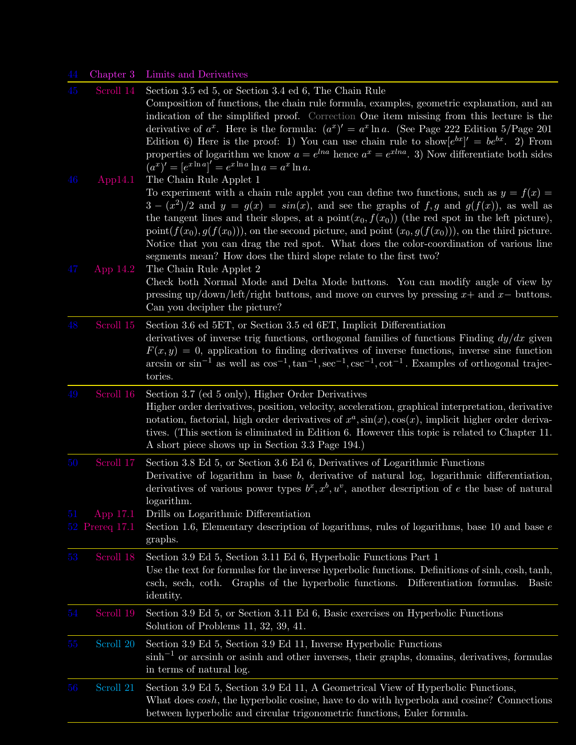## 44 Chapter 3 Limits and Derivatives

| 45       |                                         | Scroll 14 Section 3.5 ed 5, or Section 3.4 ed 6, The Chain Rule<br>Composition of functions, the chain rule formula, examples, geometric explanation, and an<br>indication of the simplified proof. Correction One item missing from this lecture is the<br>derivative of $a^x$ . Here is the formula: $(a^x)' = a^x \ln a$ . (See Page 222 Edition 5/Page 201<br>Edition 6) Here is the proof: 1) You can use chain rule to show $[e^{bx}]' = be^{bx}$ . 2) From<br>properties of logarithm we know $a = e^{lna}$ hence $a^x = e^{xlna}$ . 3) Now differentiate both sides<br>$(a^x)' = [e^{x \ln a}]' = e^{x \ln a} \ln a = a^x \ln a.$ |
|----------|-----------------------------------------|-------------------------------------------------------------------------------------------------------------------------------------------------------------------------------------------------------------------------------------------------------------------------------------------------------------------------------------------------------------------------------------------------------------------------------------------------------------------------------------------------------------------------------------------------------------------------------------------------------------------------------------------|
| 46       | App14.1                                 | The Chain Rule Applet 1<br>To experiment with a chain rule applet you can define two functions, such as $y = f(x) =$<br>$3 - (x^2)/2$ and $y = g(x) = sin(x)$ , and see the graphs of f, g and $g(f(x))$ , as well as<br>the tangent lines and their slopes, at a point $(x_0, f(x_0))$ (the red spot in the left picture),<br>point $(f(x_0), g(f(x_0))),$ on the second picture, and point $(x_0, g(f(x_0))),$ on the third picture.<br>Notice that you can drag the red spot. What does the color-coordination of various line<br>segments mean? How does the third slope relate to the first two?                                     |
| 47       | App $14.2$                              | The Chain Rule Applet 2<br>Check both Normal Mode and Delta Mode buttons. You can modify angle of view by<br>pressing up/down/left/right buttons, and move on curves by pressing $x+$ and $x-$ buttons.<br>Can you decipher the picture?                                                                                                                                                                                                                                                                                                                                                                                                  |
| 48       | Scroll 15                               | Section 3.6 ed 5ET, or Section 3.5 ed 6ET, Implicit Differentiation<br>derivatives of inverse trig functions, orthogonal families of functions Finding $dy/dx$ given<br>$F(x, y) = 0$ , application to finding derivatives of inverse functions, inverse sine function<br>arcsin or $\sin^{-1}$ as well as $\cos^{-1}$ , $\tan^{-1}$ , $\sec^{-1}$ , $\cot^{-1}$ . Examples of orthogonal trajec-<br>tories.                                                                                                                                                                                                                              |
| 49       | Scroll 16                               | Section 3.7 (ed 5 only), Higher Order Derivatives<br>Higher order derivatives, position, velocity, acceleration, graphical interpretation, derivative<br>notation, factorial, high order derivatives of $x^a$ , $sin(x)$ , $cos(x)$ , implicit higher order deriva-<br>tives. (This section is eliminated in Edition 6. However this topic is related to Chapter 11.<br>A short piece shows up in Section 3.3 Page 194.)                                                                                                                                                                                                                  |
| 50<br>51 | Scroll 17<br>App 17.1<br>52 Prereq 17.1 | Section 3.8 Ed 5, or Section 3.6 Ed 6, Derivatives of Logarithmic Functions<br>Derivative of logarithm in base $b$ , derivative of natural log, logarithmic differentiation,<br>derivatives of various power types $b^x, x^b, u^v$ , another description of e the base of natural<br>logarithm.<br>Drills on Logarithmic Differentiation<br>Section 1.6, Elementary description of logarithms, rules of logarithms, base 10 and base $e$<br>graphs.                                                                                                                                                                                       |
| 53       | Scroll 18                               | Section 3.9 Ed 5, Section 3.11 Ed 6, Hyperbolic Functions Part 1<br>Use the text for formulas for the inverse hyperbolic functions. Definitions of sinh, cosh, tanh,<br>csch, sech, coth. Graphs of the hyperbolic functions. Differentiation formulas. Basic<br>identity.                                                                                                                                                                                                                                                                                                                                                                |
| 54       | Scroll 19                               | Section 3.9 Ed 5, or Section 3.11 Ed 6, Basic exercises on Hyperbolic Functions<br>Solution of Problems 11, 32, 39, 41.                                                                                                                                                                                                                                                                                                                                                                                                                                                                                                                   |
| $55\,$   | Scroll 20                               | Section 3.9 Ed 5, Section 3.9 Ed 11, Inverse Hyperbolic Functions<br>$\sinh^{-1}$ or arcsinh or asinh and other inverses, their graphs, domains, derivatives, formulas<br>in terms of natural log.                                                                                                                                                                                                                                                                                                                                                                                                                                        |
| 56       | Scroll 21                               | Section 3.9 Ed 5, Section 3.9 Ed 11, A Geometrical View of Hyperbolic Functions,<br>What does cosh, the hyperbolic cosine, have to do with hyperbola and cosine? Connections<br>between hyperbolic and circular trigonometric functions, Euler formula.                                                                                                                                                                                                                                                                                                                                                                                   |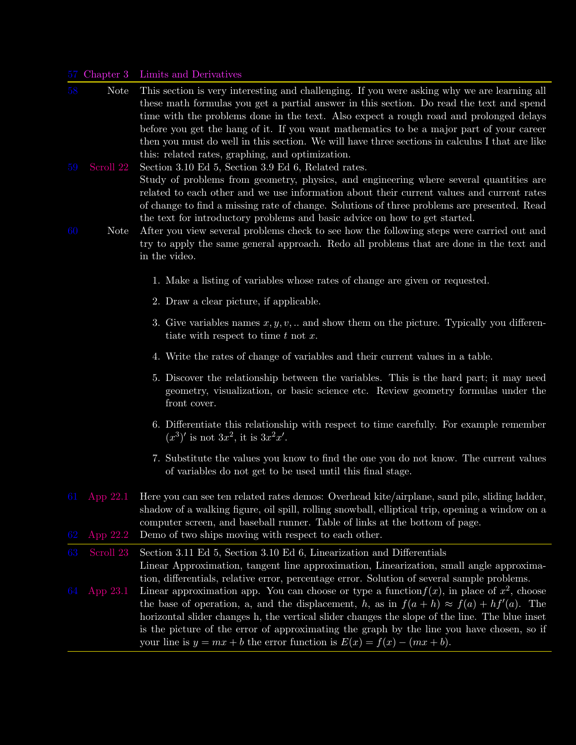#### 57 Chapter 3 Limits and Derivatives

- Note This section is very interesting and challenging. If you were asking why we are learning all these math formulas you get a partial answer in this section. Do read the text and spend time with the problems done in the text. Also expect a rough road and prolonged delays before you get the hang of it. If you want mathematics to be a major part of your career then you must do well in this section. We will have three sections in calculus I that are like this: related rates, graphing, and optimization.
- 59 [Scroll 22](http://www.math.lamar.edu/faculty/maesumi/calculusonemac/relatedrates.mov) Section 3.10 Ed 5, Section 3.9 Ed 6, Related rates. Study of problems from geometry, physics, and engineering where several quantities are related to each other and we use information about their current values and current rates of change to find a missing rate of change. Solutions of three problems are presented. Read the text for introductory problems and basic advice on how to get started.
- 60 Note After you view several problems check to see how the following steps were carried out and try to apply the same general approach. Redo all problems that are done in the text and in the video.
	- 1. Make a listing of variables whose rates of change are given or requested.
	- 2. Draw a clear picture, if applicable.
	- 3. Give variables names  $x, y, v, \ldots$  and show them on the picture. Typically you differentiate with respect to time  $t$  not  $x$ .
	- 4. Write the rates of change of variables and their current values in a table.
	- 5. Discover the relationship between the variables. This is the hard part; it may need geometry, visualization, or basic science etc. Review geometry formulas under the front cover.
	- 6. Differentiate this relationship with respect to time carefully. For example remember  $(x^3)'$  is not  $3x^2$ , it is  $3x^2x'$ .
	- 7. Substitute the values you know to find the one you do not know. The current values of variables do not get to be used until this final stage.
- 61 [App 22.1](http://www.usna.edu/MathDept/website/courses/calc_labs/relatedrates/rates.html) Here you can see ten related rates demos: Overhead kite/airplane, sand pile, sliding ladder, shadow of a walking figure, oil spill, rolling snowball, elliptical trip, opening a window on a computer screen, and baseball runner. Table of links at the bottom of page. [App 22.2](http://www.usna.edu/MathDept/website/courses/calc_labs/relatedrates/rates.html) Demo of two ships moving with respect to each other.

63 [Scroll 23](http://www.math.lamar.edu/faculty/maesumi/calculusonemac/linearization.mov) Section 3.11 Ed 5, Section 3.10 Ed 6, Linearization and Differentials Linear Approximation, tangent line approximation, Linearization, small angle approximation, differentials, relative error, percentage error. Solution of several sample problems.

64 [App 23.1](http://math.dartmouth.edu/~klbooksite/appfolder/214unit/ErrorFunction.html) Linear approximation app. You can choose or type a function  $f(x)$ , in place of  $x^2$ , choose the base of operation, a, and the displacement, h, as in  $f(a + h) \approx f(a) + hf'(a)$ . The horizontal slider changes h, the vertical slider changes the slope of the line. The blue inset is the picture of the error of approximating the graph by the line you have chosen, so if your line is  $y = mx + b$  the error function is  $E(x) = f(x) - (mx + b)$ .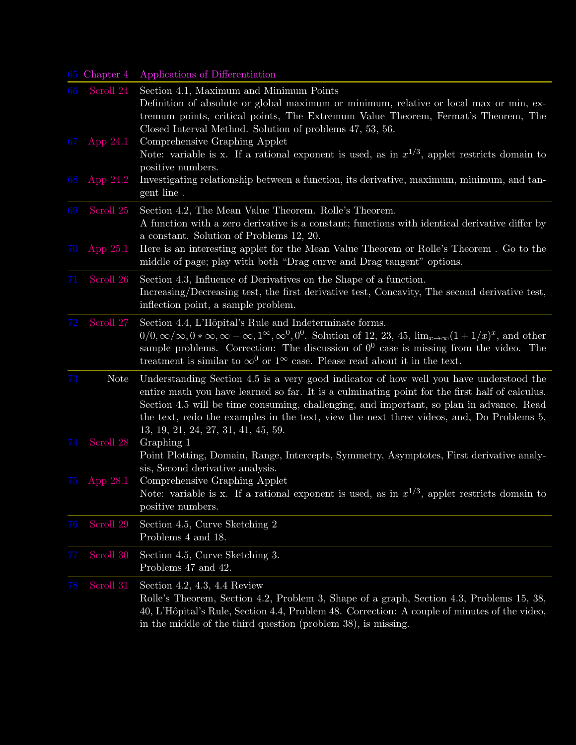|         | 65 Chapter 4 | Applications of Differentiation                                                                                                                                                                                                                                                                                                                                                                                         |
|---------|--------------|-------------------------------------------------------------------------------------------------------------------------------------------------------------------------------------------------------------------------------------------------------------------------------------------------------------------------------------------------------------------------------------------------------------------------|
| 66      | Scroll 24    | Section 4.1, Maximum and Minimum Points<br>Definition of absolute or global maximum or minimum, relative or local max or min, ex-<br>tremum points, critical points, The Extremum Value Theorem, Fermat's Theorem, The<br>Closed Interval Method. Solution of problems 47, 53, 56.                                                                                                                                      |
| 67      | App 24.1     | Comprehensive Graphing Applet<br>Note: variable is x. If a rational exponent is used, as in $x^{1/3}$ , applet restricts domain to<br>positive numbers.                                                                                                                                                                                                                                                                 |
| 68      | App $24.2$   | Investigating relationship between a function, its derivative, maximum, minimum, and tan-<br>gent line.                                                                                                                                                                                                                                                                                                                 |
| 69      | Scroll 25    | Section 4.2, The Mean Value Theorem. Rolle's Theorem.<br>A function with a zero derivative is a constant; functions with identical derivative differ by<br>a constant. Solution of Problems 12, 20.                                                                                                                                                                                                                     |
| 70      | App $25.1$   | Here is an interesting applet for the Mean Value Theorem or Rolle's Theorem. Go to the<br>middle of page; play with both "Drag curve and Drag tangent" options.                                                                                                                                                                                                                                                         |
| 71      | Scroll 26    | Section 4.3, Influence of Derivatives on the Shape of a function.<br>Increasing/Decreasing test, the first derivative test, Concavity, The second derivative test,<br>inflection point, a sample problem.                                                                                                                                                                                                               |
| $72\,$  | Scroll 27    | Section 4.4, L'Hôpital's Rule and Indeterminate forms.<br>$0/0, \infty/\infty, 0*\infty, \infty-\infty, 1^{\infty}, \infty^0, 0^0$ . Solution of 12, 23, 45, $\lim_{x\to\infty}(1+1/x)^x$ , and other<br>sample problems. Correction: The discussion of $0^0$ case is missing from the video. The<br>treatment is similar to $\infty^0$ or $1^{\infty}$ case. Please read about it in the text.                         |
| 73      | <b>Note</b>  | Understanding Section 4.5 is a very good indicator of how well you have understood the<br>entire math you have learned so far. It is a culminating point for the first half of calculus.<br>Section 4.5 will be time consuming, challenging, and important, so plan in advance. Read<br>the text, redo the examples in the text, view the next three videos, and, Do Problems 5,<br>13, 19, 21, 24, 27, 31, 41, 45, 59. |
| 74      | Scroll 28    | Graphing 1<br>Point Plotting, Domain, Range, Intercepts, Symmetry, Asymptotes, First derivative analy-<br>sis, Second derivative analysis.                                                                                                                                                                                                                                                                              |
| 75      | App 28.1     | Comprehensive Graphing Applet<br>Note: variable is x. If a rational exponent is used, as in $x^{1/3}$ , applet restricts domain to<br>positive numbers.                                                                                                                                                                                                                                                                 |
| 76      | Scroll 29    | Section 4.5, Curve Sketching 2<br>Problems 4 and 18.                                                                                                                                                                                                                                                                                                                                                                    |
| $77 \,$ | Scroll 30    | Section 4.5, Curve Sketching 3.<br>Problems 47 and 42.                                                                                                                                                                                                                                                                                                                                                                  |
| 78      | Scroll 31    | Section 4.2, 4.3, 4.4 Review<br>Rolle's Theorem, Section 4.2, Problem 3, Shape of a graph, Section 4.3, Problems 15, 38,<br>40, L'Hôpital's Rule, Section 4.4, Problem 48. Correction: A couple of minutes of the video,<br>in the middle of the third question (problem 38), is missing.                                                                                                                               |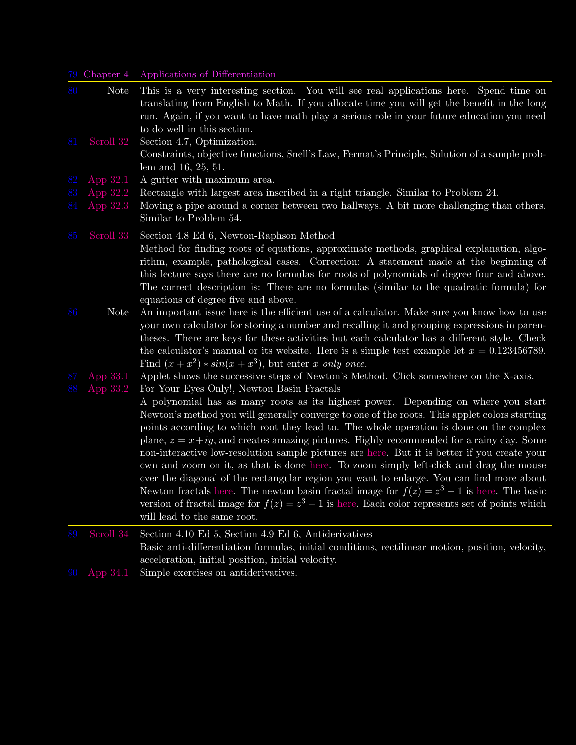## 79 Chapter 4 Applications of Differentiation

| 80       | <b>Note</b>          | This is a very interesting section. You will see real applications here. Spend time on<br>translating from English to Math. If you allocate time you will get the benefit in the long<br>run. Again, if you want to have math play a serious role in your future education you need<br>to do well in this section.                                                                                                                                                                                                                                                                                                                                                                                                                                                                                                                                                                                                                                                                                                                          |
|----------|----------------------|---------------------------------------------------------------------------------------------------------------------------------------------------------------------------------------------------------------------------------------------------------------------------------------------------------------------------------------------------------------------------------------------------------------------------------------------------------------------------------------------------------------------------------------------------------------------------------------------------------------------------------------------------------------------------------------------------------------------------------------------------------------------------------------------------------------------------------------------------------------------------------------------------------------------------------------------------------------------------------------------------------------------------------------------|
| 81       | Scroll 32            | Section 4.7, Optimization.<br>Constraints, objective functions, Snell's Law, Fermat's Principle, Solution of a sample prob-<br>lem and 16, 25, 51.                                                                                                                                                                                                                                                                                                                                                                                                                                                                                                                                                                                                                                                                                                                                                                                                                                                                                          |
| 82       | App 32.1             | A gutter with maximum area.                                                                                                                                                                                                                                                                                                                                                                                                                                                                                                                                                                                                                                                                                                                                                                                                                                                                                                                                                                                                                 |
| 83       | App 32.2             | Rectangle with largest area inscribed in a right triangle. Similar to Problem 24.                                                                                                                                                                                                                                                                                                                                                                                                                                                                                                                                                                                                                                                                                                                                                                                                                                                                                                                                                           |
| 84       | App 32.3             | Moving a pipe around a corner between two hallways. A bit more challenging than others.<br>Similar to Problem 54.                                                                                                                                                                                                                                                                                                                                                                                                                                                                                                                                                                                                                                                                                                                                                                                                                                                                                                                           |
| 85       | Scroll 33            | Section 4.8 Ed 6, Newton-Raphson Method<br>Method for finding roots of equations, approximate methods, graphical explanation, algo-<br>rithm, example, pathological cases. Correction: A statement made at the beginning of<br>this lecture says there are no formulas for roots of polynomials of degree four and above.<br>The correct description is: There are no formulas (similar to the quadratic formula) for<br>equations of degree five and above.                                                                                                                                                                                                                                                                                                                                                                                                                                                                                                                                                                                |
| 86       | <b>Note</b>          | An important issue here is the efficient use of a calculator. Make sure you know how to use<br>your own calculator for storing a number and recalling it and grouping expressions in paren-<br>theses. There are keys for these activities but each calculator has a different style. Check<br>the calculator's manual or its website. Here is a simple test example let $x = 0.123456789$ .<br>Find $(x+x^2)*sin(x+x^3)$ , but enter x only once.                                                                                                                                                                                                                                                                                                                                                                                                                                                                                                                                                                                          |
| 87<br>88 | App 33.1<br>App 33.2 | Applet shows the successive steps of Newton's Method. Click somewhere on the X-axis.<br>For Your Eyes Only!, Newton Basin Fractals<br>A polynomial has as many roots as its highest power. Depending on where you start<br>Newton's method you will generally converge to one of the roots. This applet colors starting<br>points according to which root they lead to. The whole operation is done on the complex<br>plane, $z = x + iy$ , and creates amazing pictures. Highly recommended for a rainy day. Some<br>non-interactive low-resolution sample pictures are here. But it is better if you create your<br>own and zoom on it, as that is done here. To zoom simply left-click and drag the mouse<br>over the diagonal of the rectangular region you want to enlarge. You can find more about<br>Newton fractals here. The newton basin fractal image for $f(z) = z^3 - 1$ is here. The basic<br>version of fractal image for $f(z) = z^3 - 1$ is here. Each color represents set of points which<br>will lead to the same root. |
| 89       | Scroll 34            | Section 4.10 Ed 5, Section 4.9 Ed 6, Antiderivatives<br>Basic anti-differentiation formulas, initial conditions, rectilinear motion, position, velocity,<br>acceleration, initial position, initial velocity.                                                                                                                                                                                                                                                                                                                                                                                                                                                                                                                                                                                                                                                                                                                                                                                                                               |
| 90       | App 34.1             | Simple exercises on antiderivatives.                                                                                                                                                                                                                                                                                                                                                                                                                                                                                                                                                                                                                                                                                                                                                                                                                                                                                                                                                                                                        |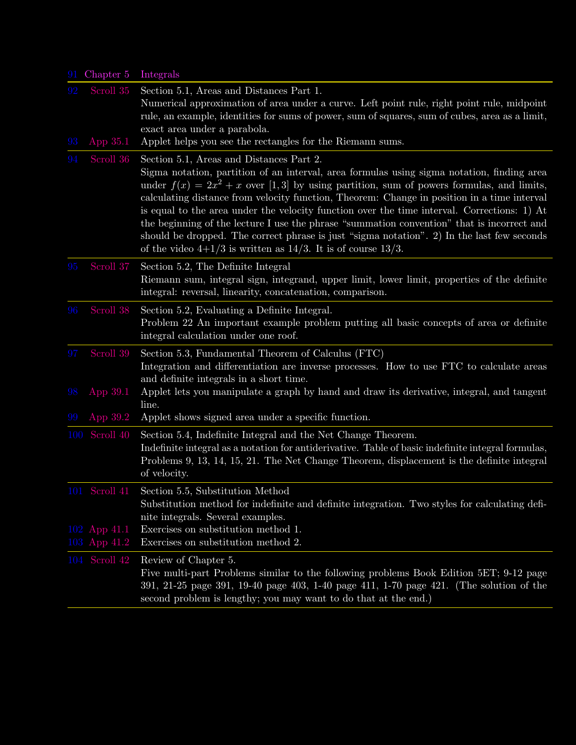| 91       | Chapter 5                                     | Integrals                                                                                                                                                                                                                                                                                                                                                                                                                                                                                                                                                                                                                                                                                              |
|----------|-----------------------------------------------|--------------------------------------------------------------------------------------------------------------------------------------------------------------------------------------------------------------------------------------------------------------------------------------------------------------------------------------------------------------------------------------------------------------------------------------------------------------------------------------------------------------------------------------------------------------------------------------------------------------------------------------------------------------------------------------------------------|
| 92<br>93 | Scroll 35<br>App 35.1                         | Section 5.1, Areas and Distances Part 1.<br>Numerical approximation of area under a curve. Left point rule, right point rule, midpoint<br>rule, an example, identities for sums of power, sum of squares, sum of cubes, area as a limit,<br>exact area under a parabola.<br>Applet helps you see the rectangles for the Riemann sums.                                                                                                                                                                                                                                                                                                                                                                  |
| 94       | Scroll 36                                     | Section 5.1, Areas and Distances Part 2.<br>Sigma notation, partition of an interval, area formulas using sigma notation, finding area<br>under $f(x) = 2x^2 + x$ over [1,3] by using partition, sum of powers formulas, and limits,<br>calculating distance from velocity function, Theorem: Change in position in a time interval<br>is equal to the area under the velocity function over the time interval. Corrections: 1) At<br>the beginning of the lecture I use the phrase "summation convention" that is incorrect and<br>should be dropped. The correct phrase is just "sigma notation". 2) In the last few seconds<br>of the video $4+1/3$ is written as $14/3$ . It is of course $13/3$ . |
| 95       | Scroll 37                                     | Section 5.2, The Definite Integral<br>Riemann sum, integral sign, integrand, upper limit, lower limit, properties of the definite<br>integral: reversal, linearity, concatenation, comparison.                                                                                                                                                                                                                                                                                                                                                                                                                                                                                                         |
| 96       | Scroll 38                                     | Section 5.2, Evaluating a Definite Integral.<br>Problem 22 An important example problem putting all basic concepts of area or definite<br>integral calculation under one roof.                                                                                                                                                                                                                                                                                                                                                                                                                                                                                                                         |
| 97<br>98 | Scroll 39<br>App 39.1                         | Section 5.3, Fundamental Theorem of Calculus (FTC)<br>Integration and differentiation are inverse processes. How to use FTC to calculate areas<br>and definite integrals in a short time.<br>Applet lets you manipulate a graph by hand and draw its derivative, integral, and tangent                                                                                                                                                                                                                                                                                                                                                                                                                 |
| 99       | App 39.2                                      | line.<br>Applet shows signed area under a specific function.                                                                                                                                                                                                                                                                                                                                                                                                                                                                                                                                                                                                                                           |
|          | 100 Scroll 40                                 | Section 5.4, Indefinite Integral and the Net Change Theorem.<br>Indefinite integral as a notation for antiderivative. Table of basic indefinite integral formulas,<br>Problems 9, 13, 14, 15, 21. The Net Change Theorem, displacement is the definite integral<br>of velocity.                                                                                                                                                                                                                                                                                                                                                                                                                        |
|          | 101 Scroll 41<br>102 App 41.1<br>103 App 41.2 | Section 5.5, Substitution Method<br>Substitution method for indefinite and definite integration. Two styles for calculating defi-<br>nite integrals. Several examples.<br>Exercises on substitution method 1.<br>Exercises on substitution method 2.                                                                                                                                                                                                                                                                                                                                                                                                                                                   |
|          | 104 Scroll 42                                 | Review of Chapter 5.<br>Five multi-part Problems similar to the following problems Book Edition 5ET; 9-12 page<br>391, 21-25 page 391, 19-40 page 403, 1-40 page 411, 1-70 page 421. (The solution of the<br>second problem is lengthy; you may want to do that at the end.)                                                                                                                                                                                                                                                                                                                                                                                                                           |